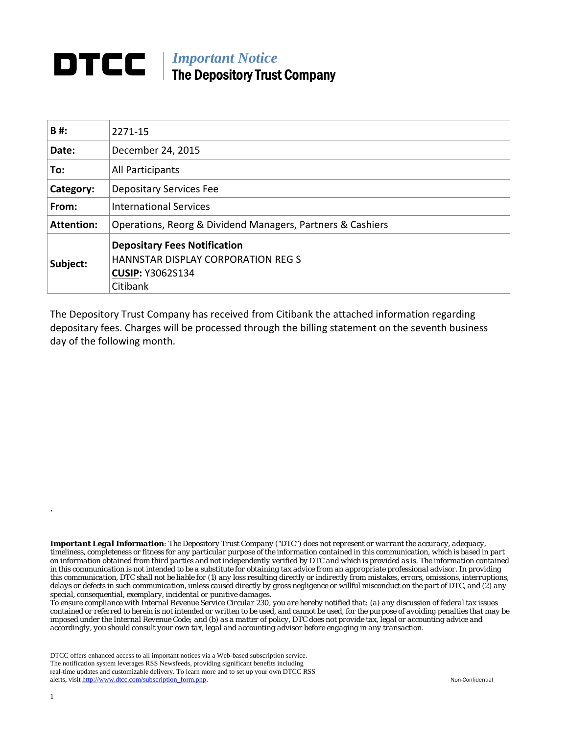## *Important Notice*  The Depository Trust Company

| B#:               | 2271-15                                                                                                          |  |  |  |  |
|-------------------|------------------------------------------------------------------------------------------------------------------|--|--|--|--|
| Date:             | December 24, 2015                                                                                                |  |  |  |  |
| To:               | All Participants                                                                                                 |  |  |  |  |
| Category:         | <b>Depositary Services Fee</b>                                                                                   |  |  |  |  |
| From:             | <b>International Services</b>                                                                                    |  |  |  |  |
| <b>Attention:</b> | Operations, Reorg & Dividend Managers, Partners & Cashiers                                                       |  |  |  |  |
| Subject:          | <b>Depositary Fees Notification</b><br>HANNSTAR DISPLAY CORPORATION REG S<br><b>CUSIP: Y3062S134</b><br>Citibank |  |  |  |  |

The Depository Trust Company has received from Citibank the attached information regarding depositary fees. Charges will be processed through the billing statement on the seventh business day of the following month.

*Important Legal Information: The Depository Trust Company ("DTC") does not represent or warrant the accuracy, adequacy, timeliness, completeness or fitness for any particular purpose of the information contained in this communication, which is based in part on information obtained from third parties and not independently verified by DTC and which is provided as is. The information contained in this communication is not intended to be a substitute for obtaining tax advice from an appropriate professional advisor. In providing this communication, DTC shall not be liable for (1) any loss resulting directly or indirectly from mistakes, errors, omissions, interruptions, delays or defects in such communication, unless caused directly by gross negligence or willful misconduct on the part of DTC, and (2) any special, consequential, exemplary, incidental or punitive damages.* 

*To ensure compliance with Internal Revenue Service Circular 230, you are hereby notified that: (a) any discussion of federal tax issues contained or referred to herein is not intended or written to be used, and cannot be used, for the purpose of avoiding penalties that may be imposed under the Internal Revenue Code; and (b) as a matter of policy, DTC does not provide tax, legal or accounting advice and accordingly, you should consult your own tax, legal and accounting advisor before engaging in any transaction.*

DTCC offers enhanced access to all important notices via a Web-based subscription service. The notification system leverages RSS Newsfeeds, providing significant benefits including real-time updates and customizable delivery. To learn more and to set up your own DTCC RSS alerts, visit http://www.dtcc.com/subscription\_form.php. Non-Confidential

.